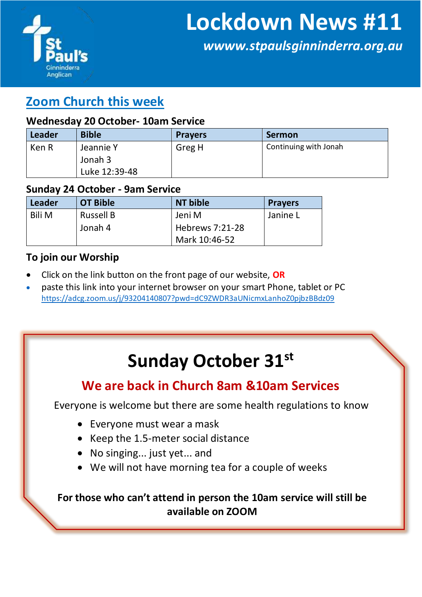

*wwww.stpaulsginninderra.org.au*

### **Zoom Church this week**

#### **Wednesday 20 October- 10am Service**

| Leader | <b>Bible</b>  | <b>Prayers</b> | <b>Sermon</b>         |
|--------|---------------|----------------|-----------------------|
| Ken R  | Jeannie Y     | Greg H         | Continuing with Jonah |
|        | Jonah 3       |                |                       |
|        | Luke 12:39-48 |                |                       |

#### **Sunday 24 October - 9am Service**

| Leader        | <b>OT Bible</b>  | NT bible        | <b>Prayers</b> |
|---------------|------------------|-----------------|----------------|
| <b>Bili M</b> | <b>Russell B</b> | Jeni M          | Janine L       |
|               | Jonah 4          | Hebrews 7:21-28 |                |
|               |                  | Mark 10:46-52   |                |

#### **To join our Worship**

- Click on the link button on the front page of our website, **OR**
- paste this link into your internet browser on your smart Phone, tablet or PC <https://adcg.zoom.us/j/93204140807?pwd=dC9ZWDR3aUNicmxLanhoZ0pjbzBBdz09>

# **Sunday October 31st**

### **We are back in Church 8am &10am Services**

Everyone is welcome but there are some health regulations to know

- Everyone must wear a mask
- Keep the 1.5-meter social distance
- No singing... just yet... and
- We will not have morning tea for a couple of weeks

**For those who can't attend in person the 10am service will still be available on ZOOM**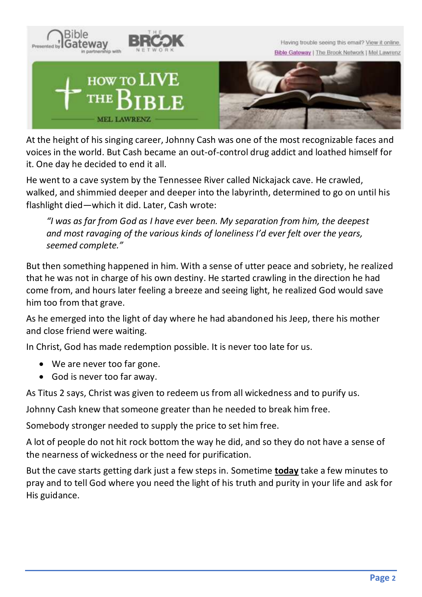

At the height of his singing career, Johnny Cash was one of the most recognizable faces and voices in the world. But Cash became an out-of-control drug addict and loathed himself for it. One day he decided to end it all.

He went to a cave system by the Tennessee River called Nickajack cave. He crawled, walked, and shimmied deeper and deeper into the labyrinth, determined to go on until his flashlight died—which it did. Later, Cash wrote:

*"I was as far from God as I have ever been. My separation from him, the deepest and most ravaging of the various kinds of loneliness I'd ever felt over the years, seemed complete."*

But then something happened in him. With a sense of utter peace and sobriety, he realized that he was not in charge of his own destiny. He started crawling in the direction he had come from, and hours later feeling a breeze and seeing light, he realized God would save him too from that grave.

As he emerged into the light of day where he had abandoned his Jeep, there his mother and close friend were waiting.

In Christ, God has made redemption possible. It is never too late for us.

- We are never too far gone.
- God is never too far away.

As Titus 2 says, Christ was given to redeem us from all wickedness and to purify us.

Johnny Cash knew that someone greater than he needed to break him free.

Somebody stronger needed to supply the price to set him free.

A lot of people do not hit rock bottom the way he did, and so they do not have a sense of the nearness of wickedness or the need for purification.

But the cave starts getting dark just a few steps in. Sometime **today** take a few minutes to pray and to tell God where you need the light of his truth and purity in your life and ask for His guidance.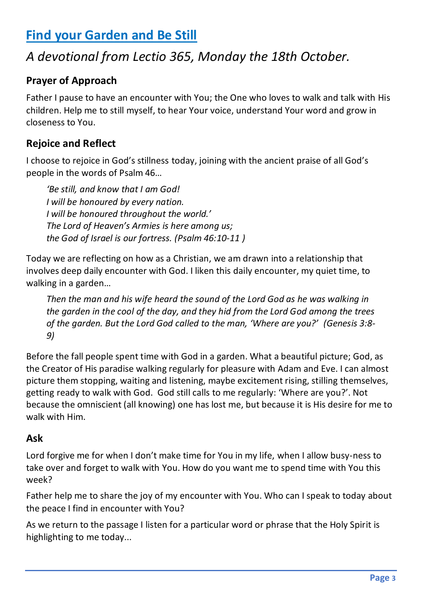# **Find your Garden and Be Still**

# *A devotional from Lectio 365, Monday the 18th October.*

### **Prayer of Approach**

Father I pause to have an encounter with You; the One who loves to walk and talk with His children. Help me to still myself, to hear Your voice, understand Your word and grow in closeness to You.

### **Rejoice and Reflect**

I choose to rejoice in God's stillness today, joining with the ancient praise of all God's people in the words of Psalm 46…

*'Be still, and know that I am God! I will be honoured by every nation. I will be honoured throughout the world.' The Lord of Heaven's Armies is here among us; the God of Israel is our fortress. (Psalm 46:10-11 )*

Today we are reflecting on how as a Christian, we am drawn into a relationship that involves deep daily encounter with God. I liken this daily encounter, my quiet time, to walking in a garden…

*Then the man and his wife heard the sound of the Lord God as he was walking in the garden in the cool of the day, and they hid from the Lord God among the trees of the garden. But the Lord God called to the man, 'Where are you?' (Genesis 3:8- 9)*

Before the fall people spent time with God in a garden. What a beautiful picture; God, as the Creator of His paradise walking regularly for pleasure with Adam and Eve. I can almost picture them stopping, waiting and listening, maybe excitement rising, stilling themselves, getting ready to walk with God. God still calls to me regularly: 'Where are you?'. Not because the omniscient (all knowing) one has lost me, but because it is His desire for me to walk with Him.

#### **Ask**

Lord forgive me for when I don't make time for You in my life, when I allow busy-ness to take over and forget to walk with You. How do you want me to spend time with You this week?

Father help me to share the joy of my encounter with You. Who can I speak to today about the peace I find in encounter with You?

As we return to the passage I listen for a particular word or phrase that the Holy Spirit is highlighting to me today...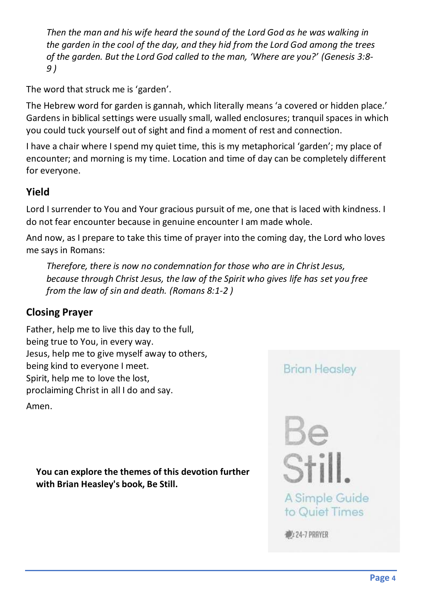*Then the man and his wife heard the sound of the Lord God as he was walking in the garden in the cool of the day, and they hid from the Lord God among the trees of the garden. But the Lord God called to the man, 'Where are you?' (Genesis 3:8- 9 )*

The word that struck me is 'garden'.

The Hebrew word for garden is gannah, which literally means 'a covered or hidden place.' Gardens in biblical settings were usually small, walled enclosures; tranquil spaces in which you could tuck yourself out of sight and find a moment of rest and connection.

I have a chair where I spend my quiet time, this is my metaphorical 'garden'; my place of encounter; and morning is my time. Location and time of day can be completely different for everyone.

### **Yield**

Lord I surrender to You and Your gracious pursuit of me, one that is laced with kindness. I do not fear encounter because in genuine encounter I am made whole.

And now, as I prepare to take this time of prayer into the coming day, the Lord who loves me says in Romans:

*Therefore, there is now no condemnation for those who are in Christ Jesus, because through Christ Jesus, the law of the Spirit who gives life has set you free from the law of sin and death. (Romans 8:1-2 )*

### **Closing Prayer**

Father, help me to live this day to the full, being true to You, in every way. Jesus, help me to give myself away to others, being kind to everyone I meet. Spirit, help me to love the lost, proclaiming Christ in all I do and say.

Amen.

**You can explore the themes of this devotion further with Brian Heasley's book, Be Still.** 

### **Brian Heasley**

Be<br>Stil A Simple Guide to Quiet Times

24-7 PRAYER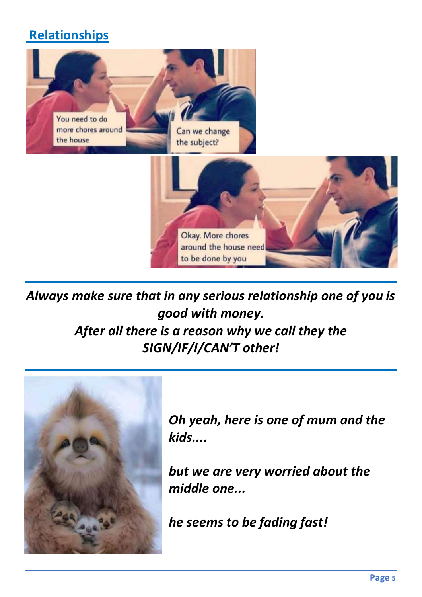# **Relationships**



*Always make sure that in any serious relationship one of you is good with money. After all there is a reason why we call they the SIGN/IF/I/CAN'T other!*



*Oh yeah, here is one of mum and the kids....* 

*but we are very worried about the middle one...*

*he seems to be fading fast!*